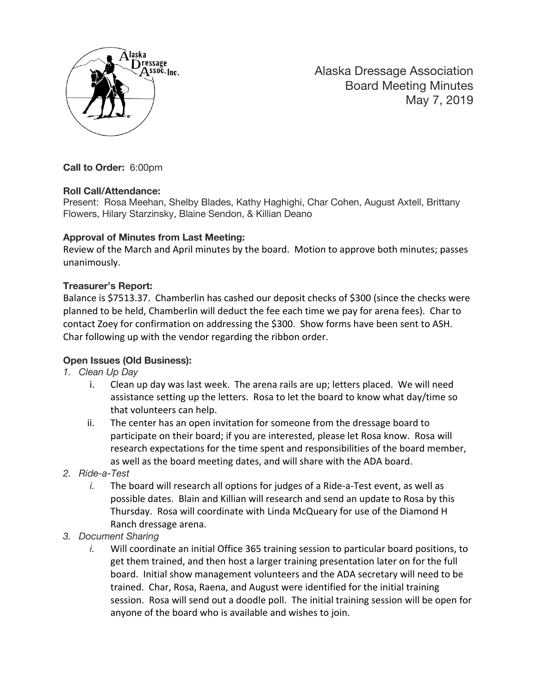

Alaska Dressage Association Board Meeting Minutes May 7, 2019

**Call to Order:** 6:00pm

#### **Roll Call/Attendance:**

Present: Rosa Meehan, Shelby Blades, Kathy Haghighi, Char Cohen, August Axtell, Brittany Flowers, Hilary Starzinsky, Blaine Sendon, & Killian Deano

### **Approval of Minutes from Last Meeting:**

Review of the March and April minutes by the board. Motion to approve both minutes; passes unanimously.

### **Treasurer's Report:**

Balance is \$7513.37. Chamberlin has cashed our deposit checks of \$300 (since the checks were planned to be held, Chamberlin will deduct the fee each time we pay for arena fees). Char to contact Zoey for confirmation on addressing the \$300. Show forms have been sent to ASH. Char following up with the vendor regarding the ribbon order.

## **Open Issues (Old Business):**

- *1. Clean Up Day*
	- i. Clean up day was last week. The arena rails are up; letters placed. We will need assistance setting up the letters. Rosa to let the board to know what day/time so that volunteers can help.
	- ii. The center has an open invitation for someone from the dressage board to participate on their board; if you are interested, please let Rosa know. Rosa will research expectations for the time spent and responsibilities of the board member, as well as the board meeting dates, and will share with the ADA board.
- *2. Ride-a-Test*
	- *i.* The board will research all options for judges of a Ride-a-Test event, as well as possible dates. Blain and Killian will research and send an update to Rosa by this Thursday. Rosa will coordinate with Linda McQueary for use of the Diamond H Ranch dressage arena.
- *3. Document Sharing*
	- *i.* Will coordinate an initial Office 365 training session to particular board positions, to get them trained, and then host a larger training presentation later on for the full board. Initial show management volunteers and the ADA secretary will need to be trained. Char, Rosa, Raena, and August were identified for the initial training session. Rosa will send out a doodle poll. The initial training session will be open for anyone of the board who is available and wishes to join.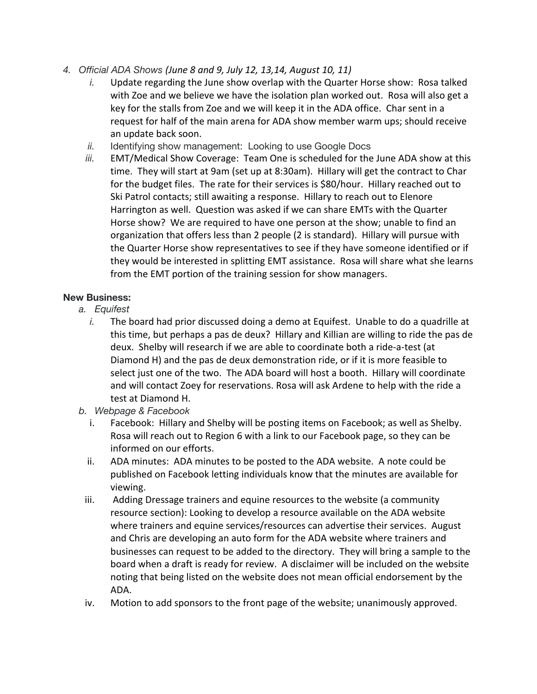- *4. Official ADA Shows (June 8 and 9, July 12, 13,14, August 10, 11)*
	- *i.* Update regarding the June show overlap with the Quarter Horse show: Rosa talked with Zoe and we believe we have the isolation plan worked out. Rosa will also get a key for the stalls from Zoe and we will keep it in the ADA office. Char sent in a request for half of the main arena for ADA show member warm ups; should receive an update back soon.
	- *ii.* Identifying show management: Looking to use Google Docs
	- *iii.* EMT/Medical Show Coverage: Team One is scheduled for the June ADA show at this time. They will start at 9am (set up at 8:30am). Hillary will get the contract to Char for the budget files. The rate for their services is \$80/hour. Hillary reached out to Ski Patrol contacts; still awaiting a response. Hillary to reach out to Elenore Harrington as well. Question was asked if we can share EMTs with the Quarter Horse show? We are required to have one person at the show; unable to find an organization that offers less than 2 people (2 is standard). Hillary will pursue with the Quarter Horse show representatives to see if they have someone identified or if they would be interested in splitting EMT assistance. Rosa will share what she learns from the EMT portion of the training session for show managers.

## **New Business:**

- *a. Equifest*
	- *i.* The board had prior discussed doing a demo at Equifest. Unable to do a quadrille at this time, but perhaps a pas de deux? Hillary and Killian are willing to ride the pas de deux. Shelby will research if we are able to coordinate both a ride-a-test (at Diamond H) and the pas de deux demonstration ride, or if it is more feasible to select just one of the two. The ADA board will host a booth. Hillary will coordinate and will contact Zoey for reservations. Rosa will ask Ardene to help with the ride a test at Diamond H.
- *b. Webpage & Facebook*
	- i. Facebook: Hillary and Shelby will be posting items on Facebook; as well as Shelby. Rosa will reach out to Region 6 with a link to our Facebook page, so they can be informed on our efforts.
	- ii. ADA minutes: ADA minutes to be posted to the ADA website. A note could be published on Facebook letting individuals know that the minutes are available for viewing.
	- iii. Adding Dressage trainers and equine resources to the website (a community resource section): Looking to develop a resource available on the ADA website where trainers and equine services/resources can advertise their services. August and Chris are developing an auto form for the ADA website where trainers and businesses can request to be added to the directory. They will bring a sample to the board when a draft is ready for review. A disclaimer will be included on the website noting that being listed on the website does not mean official endorsement by the ADA.
	- iv. Motion to add sponsors to the front page of the website; unanimously approved.